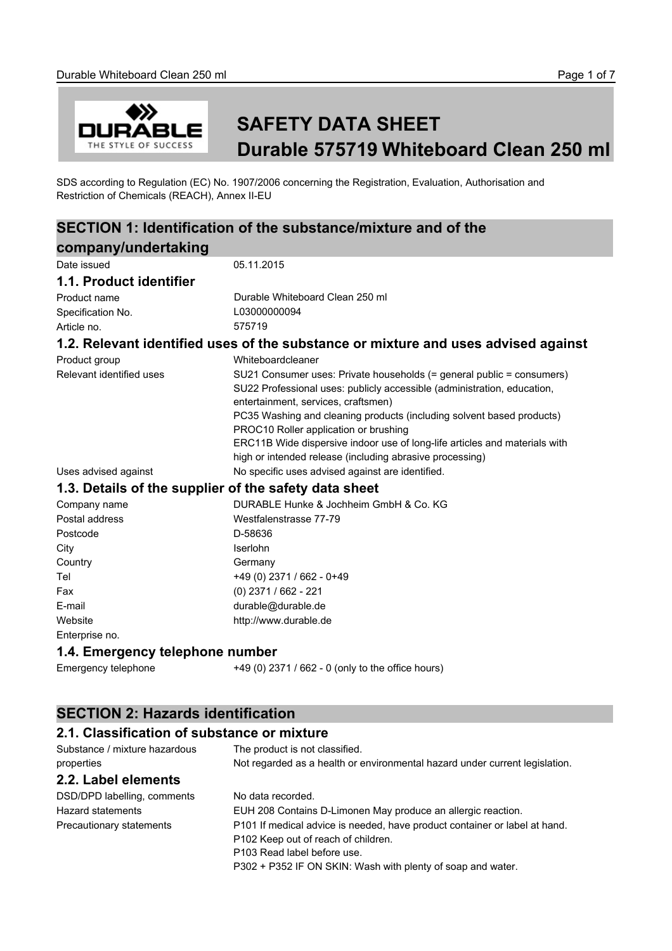

# **SAFETY DATA SHEET Durable 575719 Whiteboard Clean 250 ml**

SDS according to Regulation (EC) No. 1907/2006 concerning the Registration, Evaluation, Authorisation and Restriction of Chemicals (REACH), Annex II-EU

# **SECTION 1: Identification of the substance/mixture and of the**

| company/undertaking                         |                                                                                                                                                                                                                                                                                                                                                                                                                                                     |
|---------------------------------------------|-----------------------------------------------------------------------------------------------------------------------------------------------------------------------------------------------------------------------------------------------------------------------------------------------------------------------------------------------------------------------------------------------------------------------------------------------------|
| Date issued                                 | 05.11.2015                                                                                                                                                                                                                                                                                                                                                                                                                                          |
| 1.1. Product identifier                     |                                                                                                                                                                                                                                                                                                                                                                                                                                                     |
| Product name                                | Durable Whiteboard Clean 250 ml                                                                                                                                                                                                                                                                                                                                                                                                                     |
| Specification No.                           | L03000000094                                                                                                                                                                                                                                                                                                                                                                                                                                        |
| Article no.                                 | 575719                                                                                                                                                                                                                                                                                                                                                                                                                                              |
|                                             | 1.2. Relevant identified uses of the substance or mixture and uses advised against                                                                                                                                                                                                                                                                                                                                                                  |
| Product group                               | Whiteboardcleaner                                                                                                                                                                                                                                                                                                                                                                                                                                   |
| Relevant identified uses                    | SU21 Consumer uses: Private households (= general public = consumers)<br>SU22 Professional uses: publicly accessible (administration, education,<br>entertainment, services, craftsmen)<br>PC35 Washing and cleaning products (including solvent based products)<br>PROC10 Roller application or brushing<br>ERC11B Wide dispersive indoor use of long-life articles and materials with<br>high or intended release (including abrasive processing) |
| Uses advised against                        | No specific uses advised against are identified.                                                                                                                                                                                                                                                                                                                                                                                                    |
|                                             | 1.3. Details of the supplier of the safety data sheet                                                                                                                                                                                                                                                                                                                                                                                               |
| Company name                                | DURABLE Hunke & Jochheim GmbH & Co. KG                                                                                                                                                                                                                                                                                                                                                                                                              |
| Postal address                              | Westfalenstrasse 77-79                                                                                                                                                                                                                                                                                                                                                                                                                              |
| Postcode                                    | D-58636                                                                                                                                                                                                                                                                                                                                                                                                                                             |
| City                                        | Iserlohn                                                                                                                                                                                                                                                                                                                                                                                                                                            |
| Country                                     | Germany                                                                                                                                                                                                                                                                                                                                                                                                                                             |
| Tel                                         | +49 (0) 2371 / 662 - 0+49                                                                                                                                                                                                                                                                                                                                                                                                                           |
| Fax                                         | (0) 2371 / 662 - 221                                                                                                                                                                                                                                                                                                                                                                                                                                |
| E-mail                                      | durable@durable.de                                                                                                                                                                                                                                                                                                                                                                                                                                  |
| Website                                     | http://www.durable.de                                                                                                                                                                                                                                                                                                                                                                                                                               |
| Enterprise no.                              |                                                                                                                                                                                                                                                                                                                                                                                                                                                     |
| 1.4. Emergency telephone number             |                                                                                                                                                                                                                                                                                                                                                                                                                                                     |
| Emergency telephone                         | +49 (0) 2371 / 662 - 0 (only to the office hours)                                                                                                                                                                                                                                                                                                                                                                                                   |
| <b>SECTION 2: Hazards identification</b>    |                                                                                                                                                                                                                                                                                                                                                                                                                                                     |
| 2.1. Classification of substance or mixture |                                                                                                                                                                                                                                                                                                                                                                                                                                                     |
| Substance / mixture hazardous               | The product is not classified.                                                                                                                                                                                                                                                                                                                                                                                                                      |
| properties                                  | Not regarded as a health or environmental hazard under current legislation.                                                                                                                                                                                                                                                                                                                                                                         |

## **2.2. Label elements**

DSD/DPD labelling, comments No data recorded.

Hazard statements EUH 208 Contains D-Limonen May produce an allergic reaction. Precautionary statements P101 If medical advice is needed, have product container or label at hand. P102 Keep out of reach of children. P103 Read label before use. P302 + P352 IF ON SKIN: Wash with plenty of soap and water.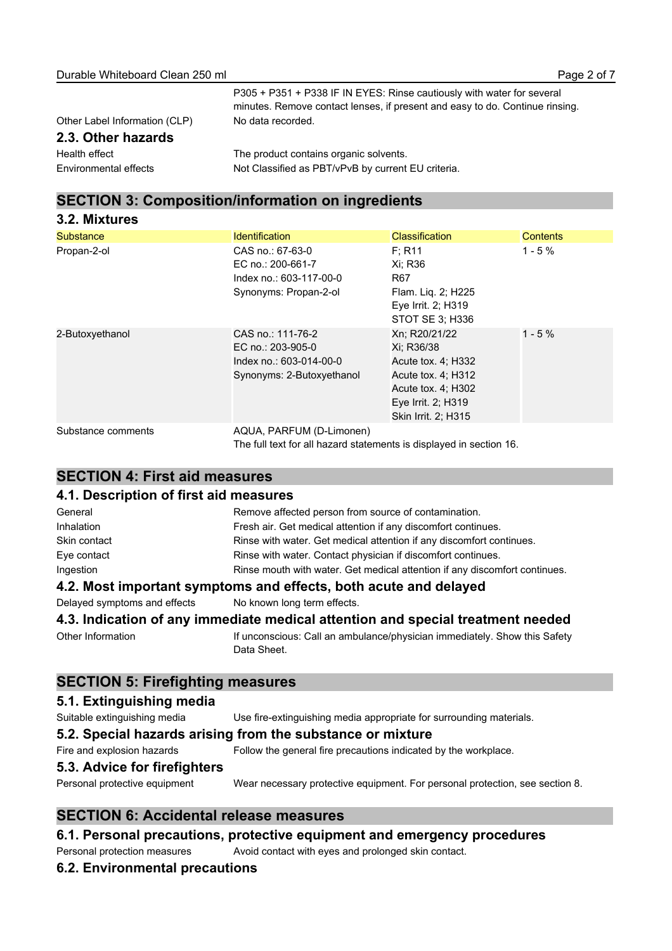| Other Label Information (CLP) |
|-------------------------------|
| 2.3. Other hazards            |
| Health effect                 |
| Environmental effects         |

P305 + P351 + P338 IF IN EYES: Rinse cautiously with water for several minutes. Remove contact lenses, if present and easy to do. Continue rinsing. No data recorded.

## **SECTION 3: Composition/information on ingredients**

| 3.2. Mixtures      |                                                                                                 |                                                                                                                                            |                 |
|--------------------|-------------------------------------------------------------------------------------------------|--------------------------------------------------------------------------------------------------------------------------------------------|-----------------|
| <b>Substance</b>   | <b>Identification</b>                                                                           | <b>Classification</b>                                                                                                                      | <b>Contents</b> |
| Propan-2-ol        | CAS no.: 67-63-0<br>EC no.: 200-661-7<br>Index no.: 603-117-00-0<br>Synonyms: Propan-2-ol       | F: R11<br>Xi: R36<br>R67<br>Flam. Liq. 2; H225<br>Eye Irrit. 2; H319<br>STOT SE 3: H336                                                    | $1 - 5%$        |
| 2-Butoxyethanol    | CAS no.: 111-76-2<br>EC no.: 203-905-0<br>Index no.: 603-014-00-0<br>Synonyms: 2-Butoxyethanol  | Xn; R20/21/22<br>Xi: R36/38<br>Acute tox. 4; H332<br>Acute tox. 4; H312<br>Acute tox. 4; H302<br>Eye Irrit. 2; H319<br>Skin Irrit. 2; H315 | $1 - 5%$        |
| Substance comments | AQUA, PARFUM (D-Limonen)<br>The full text for all hazard statements is displayed in section 16. |                                                                                                                                            |                 |

The product contains organic solvents.

Not Classified as PBT/vPvB by current EU criteria.

## **SECTION 4: First aid measures**

#### **4.1. Description of first aid measures**

| General                      | Remove affected person from source of contamination.                                     |
|------------------------------|------------------------------------------------------------------------------------------|
| Inhalation                   | Fresh air. Get medical attention if any discomfort continues.                            |
| Skin contact                 | Rinse with water. Get medical attention if any discomfort continues.                     |
| Eye contact                  | Rinse with water. Contact physician if discomfort continues.                             |
| Ingestion                    | Rinse mouth with water. Get medical attention if any discomfort continues.               |
|                              | 4.2. Most important symptoms and effects, both acute and delayed                         |
| Delayed symptoms and effects | No known long term effects.                                                              |
|                              | 4.3. Indication of any immediate medical attention and special treatment needed          |
| Other Information            | If unconscious: Call an ambulance/physician immediately. Show this Safety<br>Data Sheet. |

## **SECTION 5: Firefighting measures**

#### **5.1. Extinguishing media**

| Suitable extinguishing media  | Use fire-extinguishing media appropriate for surrounding materials.          |  |
|-------------------------------|------------------------------------------------------------------------------|--|
|                               | 5.2. Special hazards arising from the substance or mixture                   |  |
| Fire and explosion hazards    | Follow the general fire precautions indicated by the workplace.              |  |
| 5.3. Advice for firefighters  |                                                                              |  |
| Personal protective equipment | Wear necessary protective equipment. For personal protection, see section 8. |  |

#### **SECTION 6: Accidental release measures**

## **6.1. Personal precautions, protective equipment and emergency procedures**

Personal protection measures Avoid contact with eyes and prolonged skin contact.

#### **6.2. Environmental precautions**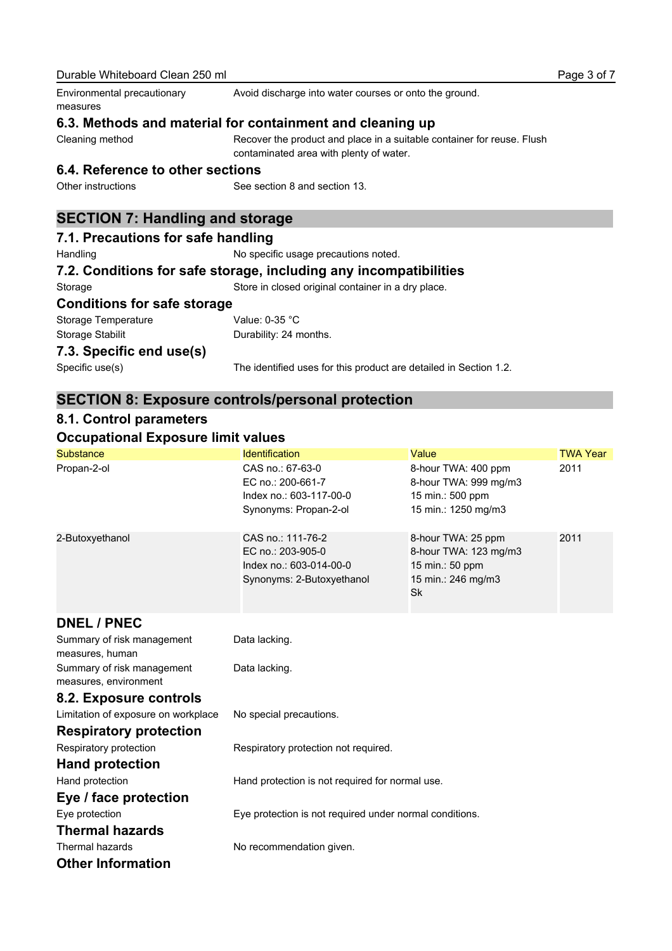| measures                                                          |                                                                                                                   |                                                                                            |                 |
|-------------------------------------------------------------------|-------------------------------------------------------------------------------------------------------------------|--------------------------------------------------------------------------------------------|-----------------|
| 6.3. Methods and material for containment and cleaning up         |                                                                                                                   |                                                                                            |                 |
| Cleaning method                                                   | Recover the product and place in a suitable container for reuse. Flush<br>contaminated area with plenty of water. |                                                                                            |                 |
| 6.4. Reference to other sections                                  |                                                                                                                   |                                                                                            |                 |
| Other instructions                                                | See section 8 and section 13.                                                                                     |                                                                                            |                 |
| <b>SECTION 7: Handling and storage</b>                            |                                                                                                                   |                                                                                            |                 |
| 7.1. Precautions for safe handling                                |                                                                                                                   |                                                                                            |                 |
| Handling                                                          | No specific usage precautions noted.                                                                              |                                                                                            |                 |
| 7.2. Conditions for safe storage, including any incompatibilities |                                                                                                                   |                                                                                            |                 |
| Storage                                                           | Store in closed original container in a dry place.                                                                |                                                                                            |                 |
| <b>Conditions for safe storage</b>                                |                                                                                                                   |                                                                                            |                 |
| Storage Temperature                                               | Value: 0-35 °C                                                                                                    |                                                                                            |                 |
| Storage Stabilit                                                  | Durability: 24 months.                                                                                            |                                                                                            |                 |
| 7.3. Specific end use(s)                                          |                                                                                                                   |                                                                                            |                 |
| Specific use(s)                                                   | The identified uses for this product are detailed in Section 1.2.                                                 |                                                                                            |                 |
| <b>SECTION 8: Exposure controls/personal protection</b>           |                                                                                                                   |                                                                                            |                 |
| 8.1. Control parameters                                           |                                                                                                                   |                                                                                            |                 |
| <b>Occupational Exposure limit values</b>                         |                                                                                                                   |                                                                                            |                 |
| <b>Substance</b>                                                  | <b>Identification</b>                                                                                             | Value                                                                                      | <b>TWA Year</b> |
| Propan-2-ol                                                       | CAS no.: 67-63-0<br>EC no.: 200-661-7<br>Index no.: 603-117-00-0<br>Synonyms: Propan-2-ol                         | 8-hour TWA: 400 ppm<br>8-hour TWA: 999 mg/m3<br>15 min.: 500 ppm<br>15 min.: 1250 mg/m3    | 2011            |
| 2-Butoxyethanol                                                   | CAS no.: 111-76-2<br>EC no.: 203-905-0<br>Index no.: 603-014-00-0<br>Synonyms: 2-Butoxyethanol                    | 8-hour TWA: 25 ppm<br>8-hour TWA: 123 mg/m3<br>15 min.: 50 ppm<br>15 min.: 246 mg/m3<br>Sk | 2011            |
| <b>DNEL / PNEC</b>                                                |                                                                                                                   |                                                                                            |                 |
| Summary of risk management<br>measures, human                     | Data lacking.                                                                                                     |                                                                                            |                 |
| Summary of risk management<br>measures, environment               | Data lacking.                                                                                                     |                                                                                            |                 |
| 8.2. Exposure controls                                            |                                                                                                                   |                                                                                            |                 |
| Limitation of exposure on workplace                               | No special precautions.                                                                                           |                                                                                            |                 |
| <b>Respiratory protection</b>                                     |                                                                                                                   |                                                                                            |                 |
| Respiratory protection                                            | Respiratory protection not required.                                                                              |                                                                                            |                 |
| <b>Hand protection</b>                                            |                                                                                                                   |                                                                                            |                 |
| Hand protection                                                   | Hand protection is not required for normal use.                                                                   |                                                                                            |                 |
| Eye / face protection                                             |                                                                                                                   |                                                                                            |                 |
| Eye protection                                                    | Eye protection is not required under normal conditions.                                                           |                                                                                            |                 |
| <b>Thermal hazards</b>                                            |                                                                                                                   |                                                                                            |                 |
| Thermal hazards                                                   |                                                                                                                   |                                                                                            |                 |
|                                                                   | No recommendation given.                                                                                          |                                                                                            |                 |
| <b>Other Information</b>                                          |                                                                                                                   |                                                                                            |                 |

Avoid discharge into water courses or onto the ground.

Durable Whiteboard Clean 250 ml

Environmental precautionary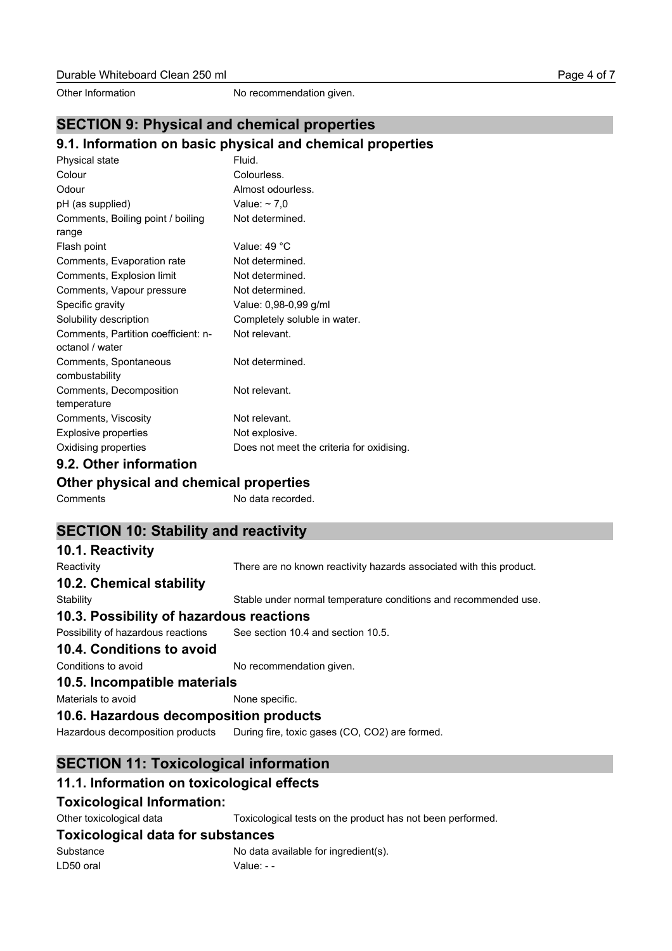Other Information No recommendation given.

## **SECTION 9: Physical and chemical properties**

#### **9.1. Information on basic physical and chemical properties**

| Physical state                      | Fluid.                                    |
|-------------------------------------|-------------------------------------------|
| Colour                              | Colourless.                               |
| Odour                               | Almost odourless.                         |
| pH (as supplied)                    | Value: $\sim$ 7.0                         |
| Comments, Boiling point / boiling   | Not determined.                           |
| range                               |                                           |
| Flash point                         | Value: 49 °C                              |
| Comments, Evaporation rate          | Not determined.                           |
| Comments, Explosion limit           | Not determined.                           |
| Comments, Vapour pressure           | Not determined.                           |
| Specific gravity                    | Value: 0,98-0,99 g/ml                     |
| Solubility description              | Completely soluble in water.              |
| Comments, Partition coefficient: n- | Not relevant.                             |
| octanol / water                     |                                           |
| Comments, Spontaneous               | Not determined.                           |
| combustability                      |                                           |
| Comments, Decomposition             | Not relevant.                             |
| temperature                         |                                           |
| Comments, Viscosity                 | Not relevant.                             |
| Explosive properties                | Not explosive.                            |
| Oxidising properties                | Does not meet the criteria for oxidising. |
| 0.2. Other information              |                                           |

## **9.2. Other information**

#### **Other physical and chemical properties**

Comments No data recorded.

## **SECTION 10: Stability and reactivity**

## **10.1. Reactivity** Reactivity There are no known reactivity hazards associated with this product. **10.2. Chemical stability** Stability Stable under normal temperature conditions and recommended use. **10.3. Possibility of hazardous reactions** Possibility of hazardous reactions See section 10.4 and section 10.5. **10.4. Conditions to avoid** Conditions to avoid No recommendation given. **10.5. Incompatible materials** Materials to avoid None specific. **10.6. Hazardous decomposition products** Hazardous decomposition products During fire, toxic gases (CO, CO2) are formed.

## **SECTION 11: Toxicological information**

## **11.1. Information on toxicological effects**

#### **Toxicological Information:**

Other toxicological data Toxicological tests on the product has not been performed.

## **Toxicological data for substances**

Substance No data available for ingredient(s). LD50 oral Value: - -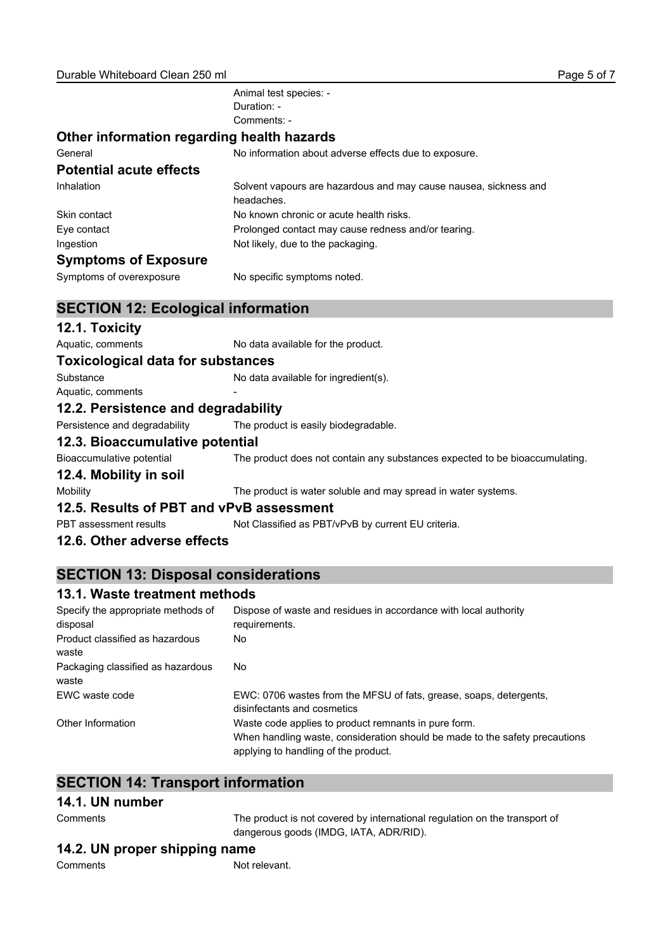Animal test species: - Duration: - Comments: -

#### **Other information regarding health hazards**

| General                        | No information about adverse effects due to exposure.                          |  |
|--------------------------------|--------------------------------------------------------------------------------|--|
| <b>Potential acute effects</b> |                                                                                |  |
| Inhalation                     | Solvent vapours are hazardous and may cause nausea, sickness and<br>headaches. |  |
| Skin contact                   | No known chronic or acute health risks.                                        |  |
| Eve contact                    | Prolonged contact may cause redness and/or tearing.                            |  |
| Ingestion                      | Not likely, due to the packaging.                                              |  |
| <b>Symptoms of Exposure</b>    |                                                                                |  |
| Symptoms of overexposure       | No specific symptoms noted.                                                    |  |

#### **SECTION 12: Ecological information**

#### **12.1. Toxicity**

Aquatic, comments No data available for the product.

#### **Toxicological data for substances**

Substance No data available for ingredient(s).

## Aquatic, comments

**12.2. Persistence and degradability** Persistence and degradability The product is easily biodegradable.

## **12.3. Bioaccumulative potential**

Bioaccumulative potential The product does not contain any substances expected to be bioaccumulating.

#### **12.4. Mobility in soil**

Mobility Mobility The product is water soluble and may spread in water systems.

#### **12.5. Results of PBT and vPvB assessment**

PBT assessment results Not Classified as PBT/vPvB by current EU criteria.

#### **12.6. Other adverse effects**

## **SECTION 13: Disposal considerations**

#### **13.1. Waste treatment methods**

| Specify the appropriate methods of         | Dispose of waste and residues in accordance with local authority                                                                                                            |
|--------------------------------------------|-----------------------------------------------------------------------------------------------------------------------------------------------------------------------------|
| disposal                                   | requirements.                                                                                                                                                               |
| Product classified as hazardous<br>waste   | No.                                                                                                                                                                         |
| Packaging classified as hazardous<br>waste | No.                                                                                                                                                                         |
| EWC waste code                             | EWC: 0706 wastes from the MFSU of fats, grease, soaps, detergents,<br>disinfectants and cosmetics                                                                           |
| Other Information                          | Waste code applies to product remnants in pure form.<br>When handling waste, consideration should be made to the safety precautions<br>applying to handling of the product. |

#### **SECTION 14: Transport information**

#### **14.1. UN number**

The product is not covered by international regulation on the transport of dangerous goods (IMDG, IATA, ADR/RID).

#### **14.2. UN proper shipping name**

Comments Not relevant.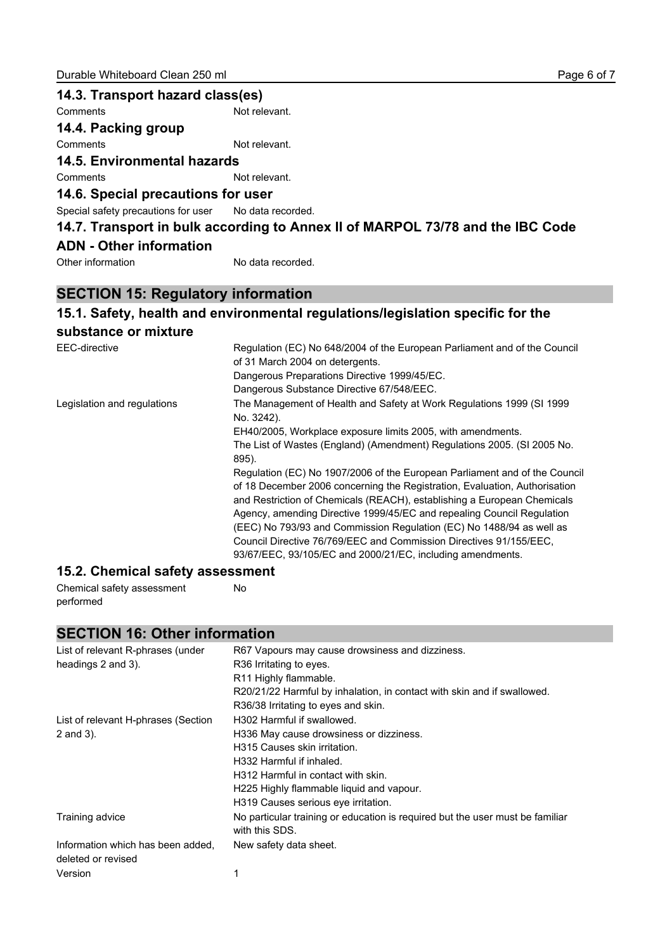| 14.3. Transport hazard class(es)                      |                                                                                |
|-------------------------------------------------------|--------------------------------------------------------------------------------|
| Comments                                              | Not relevant.                                                                  |
| 14.4. Packing group                                   |                                                                                |
| Comments                                              | Not relevant.                                                                  |
| <b>14.5. Environmental hazards</b>                    |                                                                                |
| Comments                                              | Not relevant.                                                                  |
| 14.6. Special precautions for user                    |                                                                                |
| Special safety precautions for user No data recorded. |                                                                                |
|                                                       | 14.7. Transport in bulk according to Annex II of MARPOL 73/78 and the IBC Code |
| <b>ADN</b> - Other information                        |                                                                                |
| Other information                                     | No data recorded.                                                              |

## **SECTION 15: Regulatory information**

## **15.1. Safety, health and environmental regulations/legislation specific for the**

## **substance or mixture**

| EEC-directive               | Regulation (EC) No 648/2004 of the European Parliament and of the Council<br>of 31 March 2004 on detergents.                                                                                                                    |
|-----------------------------|---------------------------------------------------------------------------------------------------------------------------------------------------------------------------------------------------------------------------------|
|                             | Dangerous Preparations Directive 1999/45/EC.                                                                                                                                                                                    |
|                             | Dangerous Substance Directive 67/548/EEC.                                                                                                                                                                                       |
| Legislation and regulations | The Management of Health and Safety at Work Regulations 1999 (SI 1999<br>No. 3242).                                                                                                                                             |
|                             | EH40/2005, Workplace exposure limits 2005, with amendments.                                                                                                                                                                     |
|                             | The List of Wastes (England) (Amendment) Regulations 2005. (SI 2005 No.<br>895).                                                                                                                                                |
|                             | Regulation (EC) No 1907/2006 of the European Parliament and of the Council                                                                                                                                                      |
|                             | of 18 December 2006 concerning the Registration, Evaluation, Authorisation<br>and Restriction of Chemicals (REACH), establishing a European Chemicals<br>Agency, amending Directive 1999/45/EC and repealing Council Regulation |
|                             | (EEC) No 793/93 and Commission Regulation (EC) No 1488/94 as well as                                                                                                                                                            |
|                             | Council Directive 76/769/EEC and Commission Directives 91/155/EEC.<br>93/67/EEC, 93/105/EC and 2000/21/EC, including amendments.                                                                                                |
|                             |                                                                                                                                                                                                                                 |

#### **15.2. Chemical safety assessment**

Chemical safety assessment performed No

## **SECTION 16: Other information**

| List of relevant R-phrases (under                       | R67 Vapours may cause drowsiness and dizziness.                                                 |
|---------------------------------------------------------|-------------------------------------------------------------------------------------------------|
| headings 2 and 3).                                      | R <sub>36</sub> Irritating to eyes.                                                             |
|                                                         | R11 Highly flammable.                                                                           |
|                                                         | R20/21/22 Harmful by inhalation, in contact with skin and if swallowed.                         |
|                                                         | R36/38 Irritating to eyes and skin.                                                             |
| List of relevant H-phrases (Section                     | H302 Harmful if swallowed.                                                                      |
| 2 and 3).                                               | H336 May cause drowsiness or dizziness.                                                         |
|                                                         | H315 Causes skin irritation.                                                                    |
|                                                         | H332 Harmful if inhaled.                                                                        |
|                                                         | H312 Harmful in contact with skin.                                                              |
|                                                         | H225 Highly flammable liquid and vapour.                                                        |
|                                                         | H319 Causes serious eve irritation.                                                             |
| Training advice                                         | No particular training or education is required but the user must be familiar<br>with this SDS. |
| Information which has been added,<br>deleted or revised | New safety data sheet.                                                                          |
| Version                                                 |                                                                                                 |